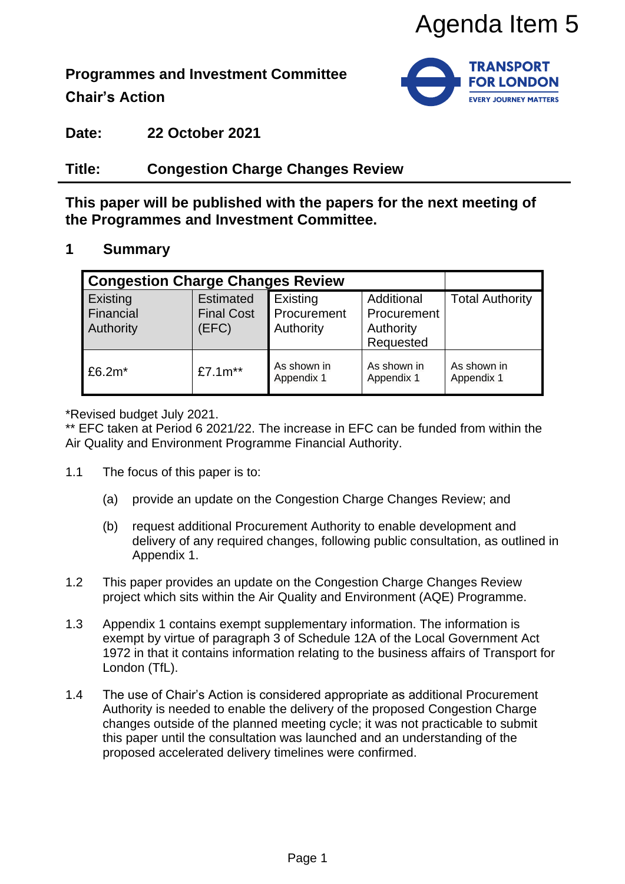

**Programmes and Investment Committee**

**Chair's Action**



**Date: 22 October 2021**

## **Title: Congestion Charge Changes Review**

### **1 Summary**

|                                                                                                                             |                                                                                                                                                                                                                                                                                                                                                                                                                                                                                                                                                                                                                                                                                                                                                                                                                                                                                                                                                                                                                                                                                                                                                                                                                                                               |                                                |                                      | Agenda Item 5                                       |                           |  |
|-----------------------------------------------------------------------------------------------------------------------------|---------------------------------------------------------------------------------------------------------------------------------------------------------------------------------------------------------------------------------------------------------------------------------------------------------------------------------------------------------------------------------------------------------------------------------------------------------------------------------------------------------------------------------------------------------------------------------------------------------------------------------------------------------------------------------------------------------------------------------------------------------------------------------------------------------------------------------------------------------------------------------------------------------------------------------------------------------------------------------------------------------------------------------------------------------------------------------------------------------------------------------------------------------------------------------------------------------------------------------------------------------------|------------------------------------------------|--------------------------------------|-----------------------------------------------------|---------------------------|--|
| <b>TRANSPORT</b><br>ogrammes and Investment Committee<br><b>FOR LONDON</b><br>าair's Action<br><b>EVERY JOURNEY MATTERS</b> |                                                                                                                                                                                                                                                                                                                                                                                                                                                                                                                                                                                                                                                                                                                                                                                                                                                                                                                                                                                                                                                                                                                                                                                                                                                               |                                                |                                      |                                                     |                           |  |
|                                                                                                                             | ate:                                                                                                                                                                                                                                                                                                                                                                                                                                                                                                                                                                                                                                                                                                                                                                                                                                                                                                                                                                                                                                                                                                                                                                                                                                                          | <b>22 October 2021</b>                         |                                      |                                                     |                           |  |
|                                                                                                                             | tle:                                                                                                                                                                                                                                                                                                                                                                                                                                                                                                                                                                                                                                                                                                                                                                                                                                                                                                                                                                                                                                                                                                                                                                                                                                                          | <b>Congestion Charge Changes Review</b>        |                                      |                                                     |                           |  |
| iis paper will be published with the papers for the next meeting of<br>e Programmes and Investment Committee.               |                                                                                                                                                                                                                                                                                                                                                                                                                                                                                                                                                                                                                                                                                                                                                                                                                                                                                                                                                                                                                                                                                                                                                                                                                                                               |                                                |                                      |                                                     |                           |  |
|                                                                                                                             | <b>Summary</b>                                                                                                                                                                                                                                                                                                                                                                                                                                                                                                                                                                                                                                                                                                                                                                                                                                                                                                                                                                                                                                                                                                                                                                                                                                                |                                                |                                      |                                                     |                           |  |
|                                                                                                                             | <b>Congestion Charge Changes Review</b>                                                                                                                                                                                                                                                                                                                                                                                                                                                                                                                                                                                                                                                                                                                                                                                                                                                                                                                                                                                                                                                                                                                                                                                                                       |                                                |                                      |                                                     |                           |  |
|                                                                                                                             | Existing<br>Financial<br>Authority                                                                                                                                                                                                                                                                                                                                                                                                                                                                                                                                                                                                                                                                                                                                                                                                                                                                                                                                                                                                                                                                                                                                                                                                                            | <b>Estimated</b><br><b>Final Cost</b><br>(EFC) | Existing<br>Procurement<br>Authority | Additional<br>Procurement<br>Authority<br>Requested | <b>Total Authority</b>    |  |
|                                                                                                                             | £6.2m*                                                                                                                                                                                                                                                                                                                                                                                                                                                                                                                                                                                                                                                                                                                                                                                                                                                                                                                                                                                                                                                                                                                                                                                                                                                        | £7.1m**                                        | As shown in<br>Appendix 1            | As shown in<br>Appendix 1                           | As shown in<br>Appendix 1 |  |
|                                                                                                                             | EFC taken at Period 6 2021/22. The increase in EFC can be funded from within the<br>Quality and Environment Programme Financial Authority.<br>The focus of this paper is to:<br>(a)<br>provide an update on the Congestion Charge Changes Review; and<br>(b)<br>request additional Procurement Authority to enable development and<br>delivery of any required changes, following public consultation, as outlined in<br>Appendix 1.<br>This paper provides an update on the Congestion Charge Changes Review<br>project which sits within the Air Quality and Environment (AQE) Programme.<br>Appendix 1 contains exempt supplementary information. The information is<br>exempt by virtue of paragraph 3 of Schedule 12A of the Local Government Act<br>1972 in that it contains information relating to the business affairs of Transport for<br>London (TfL).<br>The use of Chair's Action is considered appropriate as additional Procurement<br>Authority is needed to enable the delivery of the proposed Congestion Charge<br>changes outside of the planned meeting cycle; it was not practicable to submit<br>this paper until the consultation was launched and an understanding of the<br>proposed accelerated delivery timelines were confirmed. |                                                |                                      |                                                     |                           |  |
|                                                                                                                             |                                                                                                                                                                                                                                                                                                                                                                                                                                                                                                                                                                                                                                                                                                                                                                                                                                                                                                                                                                                                                                                                                                                                                                                                                                                               |                                                | Page 1                               |                                                     |                           |  |

\*Revised budget July 2021.

- 1.1 The focus of this paper is to:
	- (a) provide an update on the Congestion Charge Changes Review; and
	- (b) request additional Procurement Authority to enable development and delivery of any required changes, following public consultation, as outlined in Appendix 1.
- 1.2 This paper provides an update on the Congestion Charge Changes Review project which sits within the Air Quality and Environment (AQE) Programme.
- 1.3 Appendix 1 contains exempt supplementary information. The information is exempt by virtue of paragraph 3 of Schedule 12A of the Local Government Act 1972 in that it contains information relating to the business affairs of Transport for London (TfL).
- 1.4 The use of Chair's Action is considered appropriate as additional Procurement Authority is needed to enable the delivery of the proposed Congestion Charge changes outside of the planned meeting cycle; it was not practicable to submit this paper until the consultation was launched and an understanding of the proposed accelerated delivery timelines were confirmed.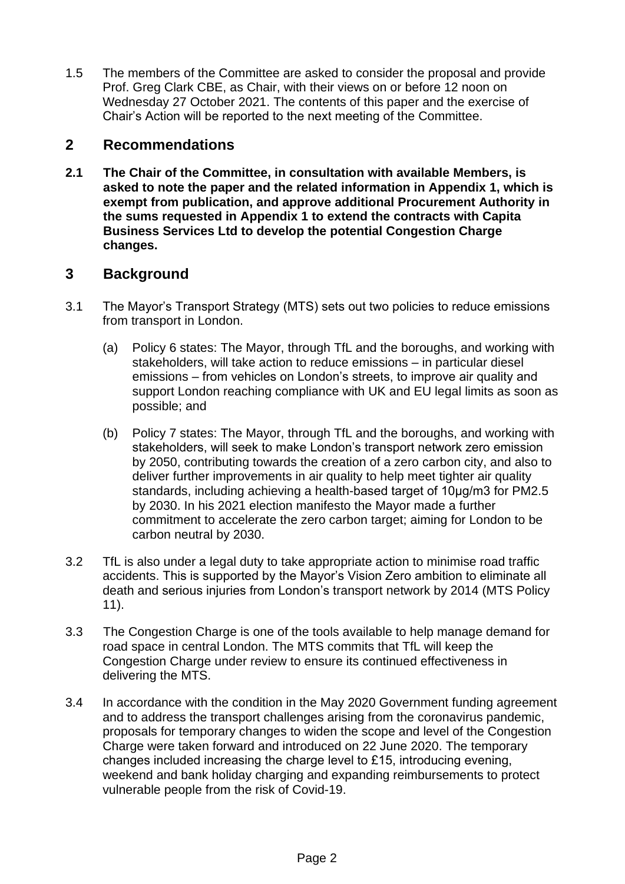1.5 The members of the Committee are asked to consider the proposal and provide Prof. Greg Clark CBE, as Chair, with their views on or before 12 noon on Wednesday 27 October 2021. The contents of this paper and the exercise of Chair's Action will be reported to the next meeting of the Committee.

### **2 Recommendations**

**2.1 The Chair of the Committee, in consultation with available Members, is asked to note the paper and the related information in Appendix 1, which is exempt from publication, and approve additional Procurement Authority in the sums requested in Appendix 1 to extend the contracts with Capita Business Services Ltd to develop the potential Congestion Charge changes.**

# **3 Background**

- 3.1 The Mayor's Transport Strategy (MTS) sets out two policies to reduce emissions from transport in London.
	- (a) Policy 6 states: The Mayor, through TfL and the boroughs, and working with stakeholders, will take action to reduce emissions – in particular diesel emissions – from vehicles on London's streets, to improve air quality and support London reaching compliance with UK and EU legal limits as soon as possible; and
	- (b) Policy 7 states: The Mayor, through TfL and the boroughs, and working with stakeholders, will seek to make London's transport network zero emission by 2050, contributing towards the creation of a zero carbon city, and also to deliver further improvements in air quality to help meet tighter air quality standards, including achieving a health-based target of 10µg/m3 for PM2.5 by 2030. In his 2021 election manifesto the Mayor made a further commitment to accelerate the zero carbon target; aiming for London to be carbon neutral by 2030.
- 3.2 TfL is also under a legal duty to take appropriate action to minimise road traffic accidents. This is supported by the Mayor's Vision Zero ambition to eliminate all death and serious injuries from London's transport network by 2014 (MTS Policy 11).
- 3.3 The Congestion Charge is one of the tools available to help manage demand for road space in central London. The MTS commits that TfL will keep the Congestion Charge under review to ensure its continued effectiveness in delivering the MTS.
- 3.4 In accordance with the condition in the May 2020 Government funding agreement and to address the transport challenges arising from the coronavirus pandemic, proposals for temporary changes to widen the scope and level of the Congestion Charge were taken forward and introduced on 22 June 2020. The temporary changes included increasing the charge level to £15, introducing evening, weekend and bank holiday charging and expanding reimbursements to protect vulnerable people from the risk of Covid-19.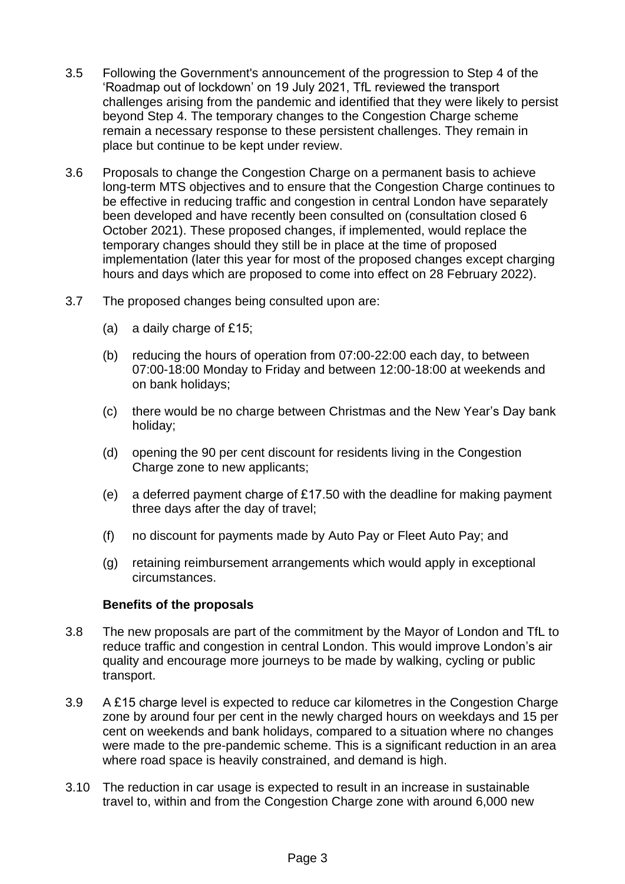- 3.5 Following the Government's announcement of the progression to Step 4 of the 'Roadmap out of lockdown' on 19 July 2021, TfL reviewed the transport challenges arising from the pandemic and identified that they were likely to persist beyond Step 4. The temporary changes to the Congestion Charge scheme remain a necessary response to these persistent challenges. They remain in place but continue to be kept under review.
- 3.6 Proposals to change the Congestion Charge on a permanent basis to achieve long-term MTS objectives and to ensure that the Congestion Charge continues to be effective in reducing traffic and congestion in central London have separately been developed and have recently been consulted on (consultation closed 6 October 2021). These proposed changes, if implemented, would replace the temporary changes should they still be in place at the time of proposed implementation (later this year for most of the proposed changes except charging hours and days which are proposed to come into effect on 28 February 2022).
- 3.7 The proposed changes being consulted upon are:
	- (a) a daily charge of £15;
	- (b) reducing the hours of operation from 07:00-22:00 each day, to between 07:00-18:00 Monday to Friday and between 12:00-18:00 at weekends and on bank holidays;
	- (c) there would be no charge between Christmas and the New Year's Day bank holiday;
	- (d) opening the 90 per cent discount for residents living in the Congestion Charge zone to new applicants;
	- (e) a deferred payment charge of £17.50 with the deadline for making payment three days after the day of travel;
	- (f) no discount for payments made by Auto Pay or Fleet Auto Pay; and
	- (g) retaining reimbursement arrangements which would apply in exceptional circumstances.

#### **Benefits of the proposals**

- 3.8 The new proposals are part of the commitment by the Mayor of London and TfL to reduce traffic and congestion in central London. This would improve London's air quality and encourage more journeys to be made by walking, cycling or public transport.
- 3.9 A £15 charge level is expected to reduce car kilometres in the Congestion Charge zone by around four per cent in the newly charged hours on weekdays and 15 per cent on weekends and bank holidays, compared to a situation where no changes were made to the pre-pandemic scheme. This is a significant reduction in an area where road space is heavily constrained, and demand is high.
- 3.10 The reduction in car usage is expected to result in an increase in sustainable travel to, within and from the Congestion Charge zone with around 6,000 new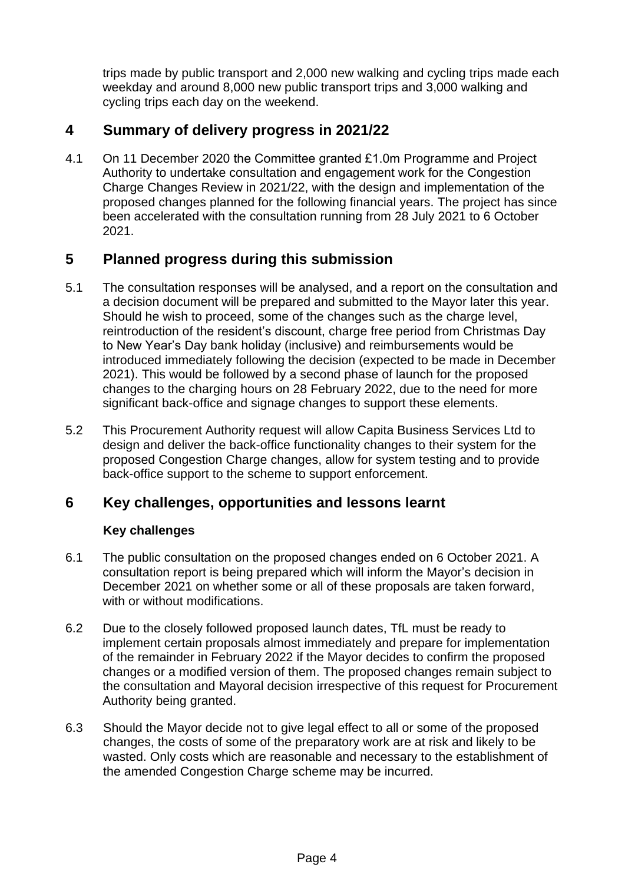trips made by public transport and 2,000 new walking and cycling trips made each weekday and around 8,000 new public transport trips and 3,000 walking and cycling trips each day on the weekend.

# **4 Summary of delivery progress in 2021/22**

4.1 On 11 December 2020 the Committee granted £1.0m Programme and Project Authority to undertake consultation and engagement work for the Congestion Charge Changes Review in 2021/22, with the design and implementation of the proposed changes planned for the following financial years. The project has since been accelerated with the consultation running from 28 July 2021 to 6 October 2021.

## **5 Planned progress during this submission**

- 5.1 The consultation responses will be analysed, and a report on the consultation and a decision document will be prepared and submitted to the Mayor later this year. Should he wish to proceed, some of the changes such as the charge level, reintroduction of the resident's discount, charge free period from Christmas Day to New Year's Day bank holiday (inclusive) and reimbursements would be introduced immediately following the decision (expected to be made in December 2021). This would be followed by a second phase of launch for the proposed changes to the charging hours on 28 February 2022, due to the need for more significant back-office and signage changes to support these elements.
- 5.2 This Procurement Authority request will allow Capita Business Services Ltd to design and deliver the back-office functionality changes to their system for the proposed Congestion Charge changes, allow for system testing and to provide back-office support to the scheme to support enforcement.

## **6 Key challenges, opportunities and lessons learnt**

#### **Key challenges**

- 6.1 The public consultation on the proposed changes ended on 6 October 2021. A consultation report is being prepared which will inform the Mayor's decision in December 2021 on whether some or all of these proposals are taken forward, with or without modifications.
- 6.2 Due to the closely followed proposed launch dates, TfL must be ready to implement certain proposals almost immediately and prepare for implementation of the remainder in February 2022 if the Mayor decides to confirm the proposed changes or a modified version of them. The proposed changes remain subject to the consultation and Mayoral decision irrespective of this request for Procurement Authority being granted.
- 6.3 Should the Mayor decide not to give legal effect to all or some of the proposed changes, the costs of some of the preparatory work are at risk and likely to be wasted. Only costs which are reasonable and necessary to the establishment of the amended Congestion Charge scheme may be incurred.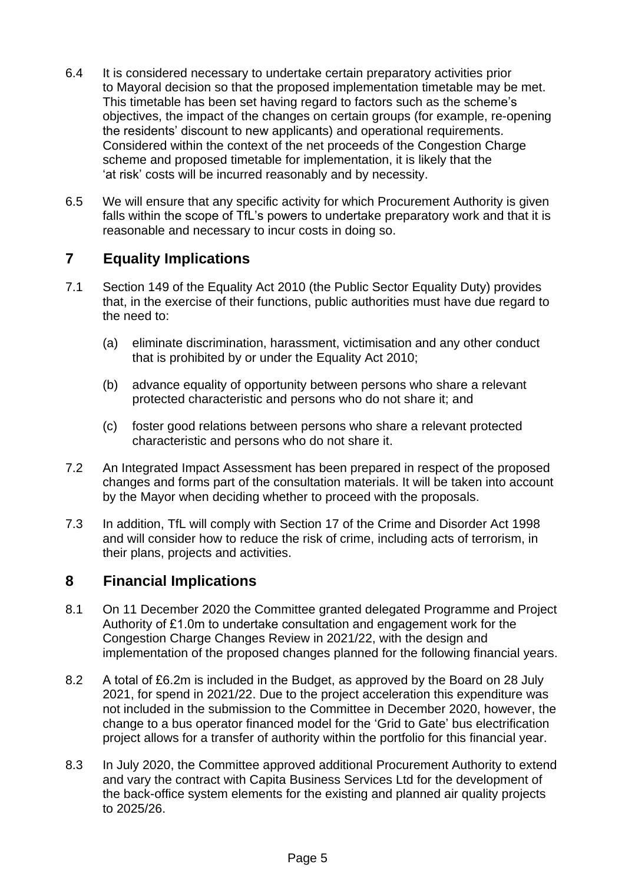- 6.4 It is considered necessary to undertake certain preparatory activities prior to Mayoral decision so that the proposed implementation timetable may be met. This timetable has been set having regard to factors such as the scheme's objectives, the impact of the changes on certain groups (for example, re-opening the residents' discount to new applicants) and operational requirements. Considered within the context of the net proceeds of the Congestion Charge scheme and proposed timetable for implementation, it is likely that the 'at risk' costs will be incurred reasonably and by necessity.
- 6.5 We will ensure that any specific activity for which Procurement Authority is given falls within the scope of TfL's powers to undertake preparatory work and that it is reasonable and necessary to incur costs in doing so.

# **7 Equality Implications**

- 7.1 Section 149 of the Equality Act 2010 (the Public Sector Equality Duty) provides that, in the exercise of their functions, public authorities must have due regard to the need to:
	- (a) eliminate discrimination, harassment, victimisation and any other conduct that is prohibited by or under the Equality Act 2010;
	- (b) advance equality of opportunity between persons who share a relevant protected characteristic and persons who do not share it; and
	- (c) foster good relations between persons who share a relevant protected characteristic and persons who do not share it.
- 7.2 An Integrated Impact Assessment has been prepared in respect of the proposed changes and forms part of the consultation materials. It will be taken into account by the Mayor when deciding whether to proceed with the proposals.
- 7.3 In addition, TfL will comply with Section 17 of the Crime and Disorder Act 1998 and will consider how to reduce the risk of crime, including acts of terrorism, in their plans, projects and activities.

## **8 Financial Implications**

- 8.1 On 11 December 2020 the Committee granted delegated Programme and Project Authority of £1.0m to undertake consultation and engagement work for the Congestion Charge Changes Review in 2021/22, with the design and implementation of the proposed changes planned for the following financial years.
- 8.2 A total of £6.2m is included in the Budget, as approved by the Board on 28 July 2021, for spend in 2021/22. Due to the project acceleration this expenditure was not included in the submission to the Committee in December 2020, however, the change to a bus operator financed model for the 'Grid to Gate' bus electrification project allows for a transfer of authority within the portfolio for this financial year.
- 8.3 In July 2020, the Committee approved additional Procurement Authority to extend and vary the contract with Capita Business Services Ltd for the development of the back-office system elements for the existing and planned air quality projects to 2025/26.